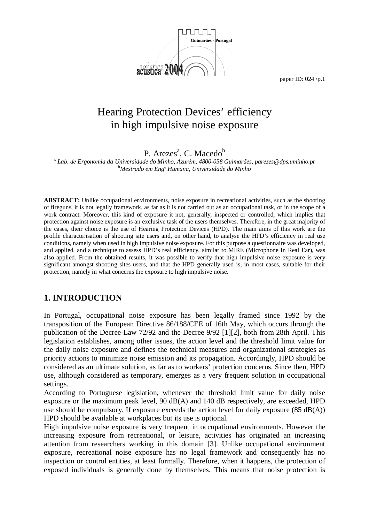

# Hearing Protection Devices' efficiency in high impulsive noise exposure

P. Arezes<sup>a</sup>, C. Macedo<sup>b</sup>

*a Lab. de Ergonomia da Universidade do Minho, Azurém, 4800-058 Guimarães, parezes@dps.uminho.pt b Mestrado em Engª Humana, Universidade do Minho* 

**ABSTRACT:** Unlike occupational environments, noise exposure in recreational activities, such as the shooting of fireguns, it is not legally framework, as far as it is not carried out as an occupational task, or in the scope of a work contract. Moreover, this kind of exposure it not, generally, inspected or controlled, which implies that protection against noise exposure is an exclusive task of the users themselves. Therefore, in the great majority of the cases, their choice is the use of Hearing Protection Devices (HPD). The main aims of this work are the profile characterisation of shooting site users and, on other hand, to analyse the HPD's efficiency in real use conditions, namely when used in high impulsive noise exposure. For this purpose a questionnaire was developed, and applied, and a technique to assess HPD's real efficiency, similar to MIRE (Microphone In Real Ear), was also applied. From the obtained results, it was possible to verify that high impulsive noise exposure is very significant amongst shooting sites users, and that the HPD generally used is, in most cases, suitable for their protection, namely in what concerns the exposure to high impulsive noise.

# **1. INTRODUCTION**

In Portugal, occupational noise exposure has been legally framed since 1992 by the transposition of the European Directive 86/188/CEE of 16th May, which occurs through the publication of the Decree-Law 72/92 and the Decree 9/92 [1][2], both from 28th April. This legislation establishes, among other issues, the action level and the threshold limit value for the daily noise exposure and defines the technical measures and organizational strategies as priority actions to minimize noise emission and its propagation. Accordingly, HPD should be considered as an ultimate solution, as far as to workers' protection concerns. Since then, HPD use, although considered as temporary, emerges as a very frequent solution in occupational settings.

According to Portuguese legislation, whenever the threshold limit value for daily noise exposure or the maximum peak level, 90 dB(A) and 140 dB respectively, are exceeded, HPD use should be compulsory. If exposure exceeds the action level for daily exposure  $(85 \text{ dB}(A))$ HPD should be available at workplaces but its use is optional.

High impulsive noise exposure is very frequent in occupational environments. However the increasing exposure from recreational, or leisure, activities has originated an increasing attention from researchers working in this domain [3]. Unlike occupational environment exposure, recreational noise exposure has no legal framework and consequently has no inspection or control entities, at least formally. Therefore, when it happens, the protection of exposed individuals is generally done by themselves. This means that noise protection is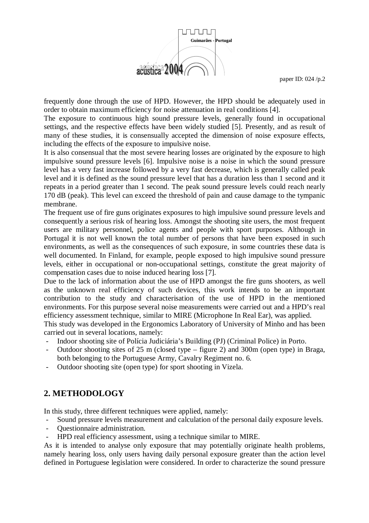

frequently done through the use of HPD. However, the HPD should be adequately used in order to obtain maximum efficiency for noise attenuation in real conditions [4].

The exposure to continuous high sound pressure levels, generally found in occupational settings, and the respective effects have been widely studied [5]. Presently, and as result of many of these studies, it is consensually accepted the dimension of noise exposure effects, including the effects of the exposure to impulsive noise.

It is also consensual that the most severe hearing losses are originated by the exposure to high impulsive sound pressure levels [6]. Impulsive noise is a noise in which the sound pressure level has a very fast increase followed by a very fast decrease, which is generally called peak level and it is defined as the sound pressure level that has a duration less than 1 second and it repeats in a period greater than 1 second. The peak sound pressure levels could reach nearly 170 dB (peak). This level can exceed the threshold of pain and cause damage to the tympanic membrane.

The frequent use of fire guns originates exposures to high impulsive sound pressure levels and consequently a serious risk of hearing loss. Amongst the shooting site users, the most frequent users are military personnel, police agents and people with sport purposes. Although in Portugal it is not well known the total number of persons that have been exposed in such environments, as well as the consequences of such exposure, in some countries these data is well documented. In Finland, for example, people exposed to high impulsive sound pressure levels, either in occupational or non-occupational settings, constitute the great majority of compensation cases due to noise induced hearing loss [7].

Due to the lack of information about the use of HPD amongst the fire guns shooters, as well as the unknown real efficiency of such devices, this work intends to be an important contribution to the study and characterisation of the use of HPD in the mentioned environments. For this purpose several noise measurements were carried out and a HPD's real efficiency assessment technique, similar to MIRE (Microphone In Real Ear), was applied.

This study was developed in the Ergonomics Laboratory of University of Minho and has been carried out in several locations, namely:

- Indoor shooting site of Polícia Judiciária's Building (PJ) (Criminal Police) in Porto.
- Outdoor shooting sites of 25 m (closed type figure 2) and 300m (open type) in Braga, both belonging to the Portuguese Army, Cavalry Regiment no. 6.
- Outdoor shooting site (open type) for sport shooting in Vizela.

# **2. METHODOLOGY**

In this study, three different techniques were applied, namely:

- Sound pressure levels measurement and calculation of the personal daily exposure levels.
- Questionnaire administration.
- HPD real efficiency assessment, using a technique similar to MIRE.

As it is intended to analyse only exposure that may potentially originate health problems, namely hearing loss, only users having daily personal exposure greater than the action level defined in Portuguese legislation were considered. In order to characterize the sound pressure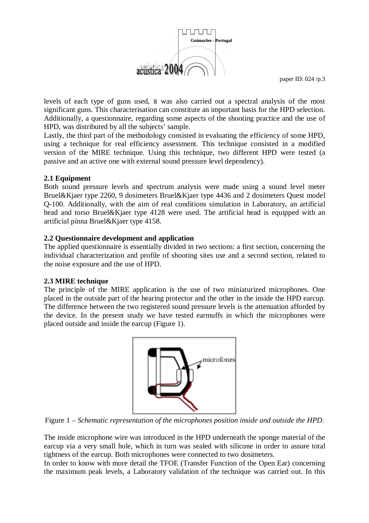

levels of each type of guns used, it was also carried out a spectral analysis of the most significant guns. This characterisation can constitute an important basis for the HPD selection. Additionally, a questionnaire, regarding some aspects of the shooting practice and the use of HPD, was distributed by all the subjects' sample.

Lastly, the third part of the methodology consisted in evaluating the efficiency of some HPD, using a technique for real efficiency assessment. This technique consisted in a modified version of the MIRE technique. Using this technique, two different HPD were tested (a passive and an active one with external sound pressure level dependency).

### **2.1 Equipment**

Both sound pressure levels and spectrum analysis were made using a sound level meter Bruel&Kjaer type 2260, 9 dosimeters Bruel&Kjaer type 4436 and 2 dosimeters Quest model Q-100. Additionally, with the aim of real conditions simulation in Laboratory, an artificial head and torso Bruel&Kjaer type 4128 were used. The artificial head is equipped with an artificial pinna Bruel&Kjaer type 4158.

### **2.2 Questionnaire development and application**

The applied questionnaire is essentially divided in two sections: a first section, concerning the individual characterization and profile of shooting sites use and a second section, related to the noise exposure and the use of HPD.

#### **2.3 MIRE technique**

The principle of the MIRE application is the use of two miniaturized microphones. One placed in the outside part of the hearing protector and the other in the inside the HPD earcup. The difference between the two registered sound pressure levels is the attenuation afforded by the device. In the present study we have tested earmuffs in which the microphones were placed outside and inside the earcup (Figure 1).



Figure 1 – *Schematic representation of the microphones position inside and outside the HPD*.

The inside microphone wire was introduced in the HPD underneath the sponge material of the earcup via a very small hole, which in turn was sealed with silicone in order to assure total tightness of the earcup. Both microphones were connected to two dosimeters.

In order to know with more detail the TFOE (Transfer Function of the Open Ear) concerning the maximum peak levels, a Laboratory validation of the technique was carried out. In this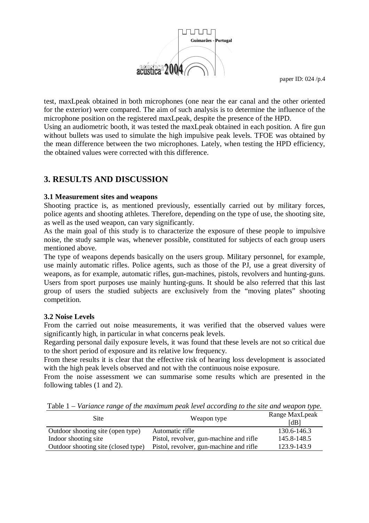

test, maxLpeak obtained in both microphones (one near the ear canal and the other oriented for the exterior) were compared. The aim of such analysis is to determine the influence of the microphone position on the registered maxLpeak, despite the presence of the HPD.

Using an audiometric booth, it was tested the maxLpeak obtained in each position. A fire gun without bullets was used to simulate the high impulsive peak levels. TFOE was obtained by the mean difference between the two microphones. Lately, when testing the HPD efficiency, the obtained values were corrected with this difference.

### **3. RESULTS AND DISCUSSION**

#### **3.1 Measurement sites and weapons**

Shooting practice is, as mentioned previously, essentially carried out by military forces, police agents and shooting athletes. Therefore, depending on the type of use, the shooting site, as well as the used weapon, can vary significantly.

As the main goal of this study is to characterize the exposure of these people to impulsive noise, the study sample was, whenever possible, constituted for subjects of each group users mentioned above.

The type of weapons depends basically on the users group. Military personnel, for example, use mainly automatic rifles. Police agents, such as those of the PJ, use a great diversity of weapons, as for example, automatic rifles, gun-machines, pistols, revolvers and hunting-guns. Users from sport purposes use mainly hunting-guns. It should be also referred that this last group of users the studied subjects are exclusively from the "moving plates" shooting competition.

#### **3.2 Noise Levels**

From the carried out noise measurements, it was verified that the observed values were significantly high, in particular in what concerns peak levels.

Regarding personal daily exposure levels, it was found that these levels are not so critical due to the short period of exposure and its relative low frequency.

From these results it is clear that the effective risk of hearing loss development is associated with the high peak levels observed and not with the continuous noise exposure.

From the noise assessment we can summarise some results which are presented in the following tables (1 and 2).

Table 1 *– Variance range of the maximum peak level according to the site and weapon type.* 

| Site                                | Weapon type                             | Range MaxLpeak<br>[dB] |
|-------------------------------------|-----------------------------------------|------------------------|
| Outdoor shooting site (open type)   | Automatic rifle                         | 130.6-146.3            |
| Indoor shooting site                | Pistol, revolver, gun-machine and rifle | 145.8-148.5            |
| Outdoor shooting site (closed type) | Pistol, revolver, gun-machine and rifle | 123.9-143.9            |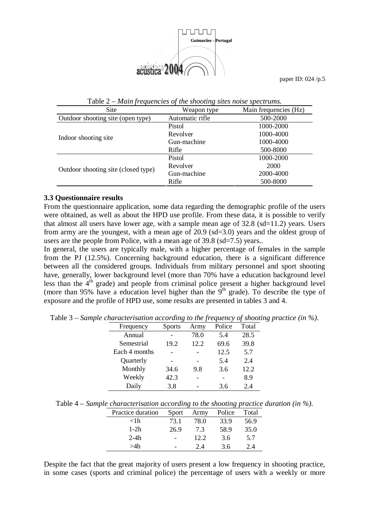

| Site                                | Weapon type     | Main frequencies (Hz) |
|-------------------------------------|-----------------|-----------------------|
| Outdoor shooting site (open type)   | Automatic rifle | 500-2000              |
|                                     | Pistol          | 1000-2000             |
|                                     | Revolver        | 1000-4000             |
| Indoor shooting site                | Gun-machine     | 1000-4000             |
|                                     | Rifle           | 500-8000              |
|                                     | Pistol          | 1000-2000             |
| Outdoor shooting site (closed type) | Revolver        | 2000                  |
|                                     | Gun-machine     | 2000-4000             |
|                                     | Rifle           | 500-8000              |

Table 2 *– Main frequencies of the shooting sites noise spectrums.* 

#### **3.3 Questionnaire results**

From the questionnaire application, some data regarding the demographic profile of the users were obtained, as well as about the HPD use profile. From these data, it is possible to verify that almost all users have lower age, with a sample mean age of  $32.8$  (sd=11.2) years. Users from army are the youngest, with a mean age of 20.9 (sd=3.0) years and the oldest group of users are the people from Police, with a mean age of 39.8 (sd=7.5) years..

In general, the users are typically male, with a higher percentage of females in the sample from the PJ (12.5%). Concerning background education, there is a significant difference between all the considered groups. Individuals from military personnel and sport shooting have, generally, lower background level (more than 70% have a education background level less than the  $4<sup>th</sup>$  grade) and people from criminal police present a higher background level (more than 95% have a education level higher than the  $9<sup>th</sup>$  grade). To describe the type of exposure and the profile of HPD use, some results are presented in tables 3 and 4.

| Frequency     | <b>Sports</b> | Army | Police | Total |
|---------------|---------------|------|--------|-------|
| Annual        |               | 78.0 | 5.4    | 28.5  |
| Semestrial    | 19.2          | 12.2 | 69.6   | 39.8  |
| Each 4 months |               |      | 12.5   | 5.7   |
| Quarterly     |               |      | 5.4    | 2.4   |
| Monthly       | 34.6          | 9.8  | 3.6    | 12.2  |
| Weekly        | 42.3          |      |        | 8.9   |
| Daily         | 3.8           |      | 3.6    | 2.4   |

Table 3 – *Sample characterisation according to the frequency of shooting practice (in %)*.

Table 4 – *Sample characterisation according to the shooting practice duration (in %)*.

| Practice duration | Sport | Army | Police | Total |
|-------------------|-------|------|--------|-------|
| $<$ 1 h           | 73.1  | 78.0 | 33.9   | 56.9  |
| $1-2h$            | 26.9  | 7.3  | 58.9   | 35.0  |
| $2-4h$            |       | 12.2 | 3.6    | 5.7   |
| >4h               |       | 2.4  | 3.6    | 2.4   |

Despite the fact that the great majority of users present a low frequency in shooting practice, in some cases (sports and criminal police) the percentage of users with a weekly or more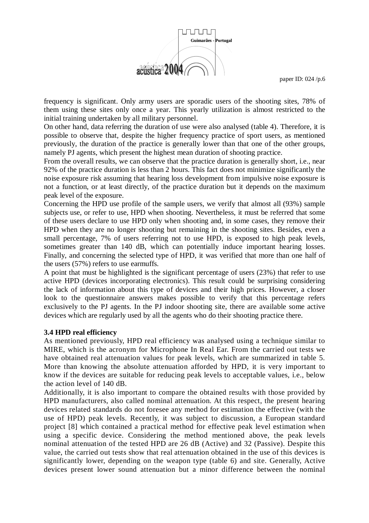

frequency is significant. Only army users are sporadic users of the shooting sites, 78% of them using these sites only once a year. This yearly utilization is almost restricted to the initial training undertaken by all military personnel.

On other hand, data referring the duration of use were also analysed (table 4). Therefore, it is possible to observe that, despite the higher frequency practice of sport users, as mentioned previously, the duration of the practice is generally lower than that one of the other groups, namely PJ agents, which present the highest mean duration of shooting practice.

From the overall results, we can observe that the practice duration is generally short, i.e., near 92% of the practice duration is less than 2 hours. This fact does not minimize significantly the noise exposure risk assuming that hearing loss development from impulsive noise exposure is not a function, or at least directly, of the practice duration but it depends on the maximum peak level of the exposure.

Concerning the HPD use profile of the sample users, we verify that almost all (93%) sample subjects use, or refer to use, HPD when shooting. Nevertheless, it must be referred that some of these users declare to use HPD only when shooting and, in some cases, they remove their HPD when they are no longer shooting but remaining in the shooting sites. Besides, even a small percentage, 7% of users referring not to use HPD, is exposed to high peak levels, sometimes greater than 140 dB, which can potentially induce important hearing losses. Finally, and concerning the selected type of HPD, it was verified that more than one half of the users (57%) refers to use earmuffs.

A point that must be highlighted is the significant percentage of users (23%) that refer to use active HPD (devices incorporating electronics). This result could be surprising considering the lack of information about this type of devices and their high prices. However, a closer look to the questionnaire answers makes possible to verify that this percentage refers exclusively to the PJ agents. In the PJ indoor shooting site, there are available some active devices which are regularly used by all the agents who do their shooting practice there.

#### **3.4 HPD real efficiency**

As mentioned previously, HPD real efficiency was analysed using a technique similar to MIRE, which is the acronym for Microphone In Real Ear. From the carried out tests we have obtained real attenuation values for peak levels, which are summarized in table 5. More than knowing the absolute attenuation afforded by HPD, it is very important to know if the devices are suitable for reducing peak levels to acceptable values, i.e., below the action level of 140 dB.

Additionally, it is also important to compare the obtained results with those provided by HPD manufacturers, also called nominal attenuation. At this respect, the present hearing devices related standards do not foresee any method for estimation the effective (with the use of HPD) peak levels. Recently, it was subject to discussion, a European standard project [8] which contained a practical method for effective peak level estimation when using a specific device. Considering the method mentioned above, the peak levels nominal attenuation of the tested HPD are 26 dB (Active) and 32 (Passive). Despite this value, the carried out tests show that real attenuation obtained in the use of this devices is significantly lower, depending on the weapon type (table 6) and site. Generally, Active devices present lower sound attenuation but a minor difference between the nominal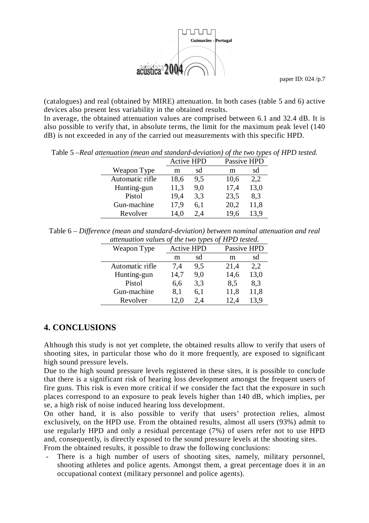

(catalogues) and real (obtained by MIRE) attenuation. In both cases (table 5 and 6) active devices also present less variability in the obtained results.

In average, the obtained attenuation values are comprised between 6.1 and 32.4 dB. It is also possible to verify that, in absolute terms, the limit for the maximum peak level (140 dB) is not exceeded in any of the carried out measurements with this specific HPD.

Table 5 –*Real attenuation (mean and standard-deviation) of the two types of HPD tested.* 

|                 | <b>Active HPD</b> |     | Passive HPD |      |
|-----------------|-------------------|-----|-------------|------|
| Weapon Type     | m                 | sd  | m           | sd   |
| Automatic rifle | 18,6              | 9,5 | 10,6        | 2,2  |
| Hunting-gun     | 11,3              | 9,0 | 17,4        | 13,0 |
| Pistol          | 19,4              | 3,3 | 23,5        | 8,3  |
| Gun-machine     | 17,9              | 6,1 | 20,2        | 11,8 |
| Revolver        | 14,0              | 2,4 | 19.6        | 13.9 |

Table 6 – *Difference (mean and standard-deviation) between nominal attenuation and real attenuation values of the two types of HPD tested.* 

| $\alpha$ and $\alpha$ and $\alpha$ and $\alpha$ and $\alpha$ and $\alpha$ and $\alpha$ and $\alpha$ and $\alpha$ and $\alpha$ and $\alpha$ and $\alpha$ and $\alpha$ and $\alpha$ and $\alpha$ and $\alpha$ and $\alpha$ and $\alpha$ and $\alpha$ and $\alpha$ and $\alpha$ and $\alpha$ and $\alpha$ and $\alpha$ and $\alpha$<br>$\cdots$ $\cdots$ |      |                   |      |             |  |
|-------------------------------------------------------------------------------------------------------------------------------------------------------------------------------------------------------------------------------------------------------------------------------------------------------------------------------------------------------|------|-------------------|------|-------------|--|
| Weapon Type                                                                                                                                                                                                                                                                                                                                           |      | <b>Active HPD</b> |      | Passive HPD |  |
|                                                                                                                                                                                                                                                                                                                                                       | m    | sd                | m    | sd          |  |
| Automatic rifle                                                                                                                                                                                                                                                                                                                                       | 7,4  | 9.5               | 21,4 | 2,2         |  |
| Hunting-gun                                                                                                                                                                                                                                                                                                                                           | 14,7 | 9,0               | 14,6 | 13,0        |  |
| Pistol                                                                                                                                                                                                                                                                                                                                                | 6.6  | 3,3               | 8.5  | 8.3         |  |
| Gun-machine                                                                                                                                                                                                                                                                                                                                           | 8.1  | 6,1               | 11,8 | 11,8        |  |
| Revolver                                                                                                                                                                                                                                                                                                                                              | 12,0 | 2.4               | 12,4 | 13,9        |  |

### **4. CONCLUSIONS**

Although this study is not yet complete, the obtained results allow to verify that users of shooting sites, in particular those who do it more frequently, are exposed to significant high sound pressure levels.

Due to the high sound pressure levels registered in these sites, it is possible to conclude that there is a significant risk of hearing loss development amongst the frequent users of fire guns. This risk is even more critical if we consider the fact that the exposure in such places correspond to an exposure to peak levels higher than 140 dB, which implies, per se, a high risk of noise induced hearing loss development.

On other hand, it is also possible to verify that users' protection relies, almost exclusively, on the HPD use. From the obtained results, almost all users (93%) admit to use regularly HPD and only a residual percentage (7%) of users refer not to use HPD and, consequently, is directly exposed to the sound pressure levels at the shooting sites. From the obtained results, it possible to draw the following conclusions:

There is a high number of users of shooting sites, namely, military personnel, shooting athletes and police agents. Amongst them, a great percentage does it in an occupational context (military personnel and police agents).